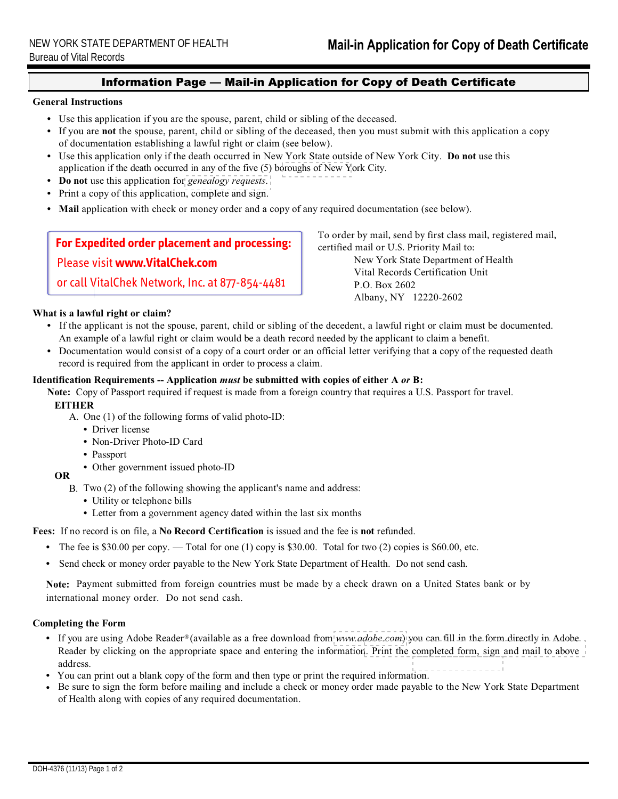### Information Page — Mail-in Application for Copy of Death Certificate

#### General Instructions

- Use this application if you are the spouse, parent, child or sibling of the deceased.
- of documentation establishing a lawful right or claim (see below). • If you are not the spouse, parent, child or sibling of the deceased, then you must submit with this application a copy
- application if the death occurred in any of the five (5) boroughs [of New Y](http://www.nyc.gov/vitalrecords)ork City. • Use this application only if the death occurred in New York State outside of New York City. Do not use this
- Do not use this application for [genealogy requests](http://www.health.ny.gov/vital_records/genealogy.htm).
- Print a copy of this application, complete and sign.
- Mail application with check or money order and a copy of any required documentation (see below).

## **For Expedited order placement and processing:**

Please visit **www.VitalChek.com**

## or call VitalChek Network, Inc. at 877-854-4481

#### What is a lawful right or claim?

New York State Department of Health Vital Records Certification Unit P.O. Box 2602

certified mail or U.S. Priority Mail to:

To order by mail, send by first class mail, registered mail,

## Albany, NY 12220-2602

- If the applicant is not the spouse, parent, child or sibling of the decedent, a lawful right or claim must be documented. An example of a lawful right or claim would be a death record needed by the applicant to claim a benefit.
- Documentation would consist of a copy of a court order or an official letter verifying that a copy of the requested death record is required from the applicant in order to process a claim.

#### Identification Requirements -- Application *must* be submitted with copies of either A or B:

Note: Copy of Passport required if request is made from a foreign country that requires a U.S. Passport for travel.

#### **EITHER**

- A. One (1) of the following forms of valid photo-ID:
	- Driver license
	- Non-Driver Photo-ID Card
	- Passport
	- Other government issued photo-ID

#### OR

- B. Two (2) of the following showing the applicant's name and address:
	- Utility or telephone bills
	- Letter from a government agency dated within the last six months

Fees: If no record is on file, a No Record Certification is issued and the fee is not refunded.

- The fee is \$30.00 per copy. Total for one  $(1)$  copy is \$30.00. Total for two  $(2)$  copies is \$60.00, etc.
- Send check or money order payable to the New York State Department of Health. Do not send cash.

 international money order. Do not send cash. Note: Payment submitted from foreign countries must be made by a check drawn on a United States bank or by

#### Completing the Form

- If you are using Adobe Reader® (available as a free download from [www.adobe.com](http://get.adobe.com/reader/)) you can fill in the form directly in Adobe Reader by clicking on the appropriate space and entering the informatio[n. Print the completed form, sign and mail to above](www.health.ny.gov/vital_records/processingtime.htm) address.
- You can print out a blank copy of the form and then type or print the required information.
- Be sure to sign the form before mailing and include a check or money order made payable to the New York State Department of Health along with copies of any required documentation.